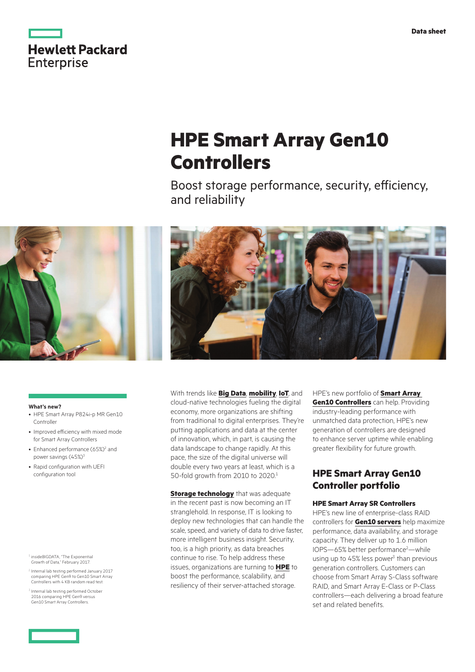

# **HPE Smart Array Gen10 Controllers**

Boost storage performance, security, efficiency, and reliability





#### **What's new?**

- HPE Smart Array P824i-p MR Gen10 Controller
- Improved efficiency with mixed mode for Smart Array Controllers
- Enhanced performance (65%)<sup>2</sup> and power savings (45%)<sup>3</sup>
- Rapid configuration with UEFI configuration tool

<sup>1</sup> insideBIGDATA, "The Exponential Growth of Data," February 2017.

- <sup>2</sup> Internal lab testing performed January 2017 comparing HPE Gen9 to Gen10 Smart Array Controllers with 4 KB random read test.
- $3$  Internal lab testing performed October 2016 comparing HPE Gen9 versus Gen10 Smart Array Controllers.

With trends like **[Big Data](https://www.hpe.com/bigdata)**, **[mobility](https://www.hpe.com/info/mobility)**, **[IoT](https://www.hpe.com/info/iot)**, and cloud-native technologies fueling the digital economy, more organizations are shifting from traditional to digital enterprises. They're putting applications and data at the center of innovation, which, in part, is causing the data landscape to change rapidly. At this pace, the size of the digital universe will double every two years at least, which is a 50-fold growth from 2010 to 2020.1

**[Storage technology](https://www.hpe.com/info/storage)** that was adequate in the recent past is now becoming an IT stranglehold. In response, IT is looking to deploy new technologies that can handle the scale, speed, and variety of data to drive faster, more intelligent business insight. Security, too, is a high priority, as data breaches continue to rise. To help address these issues, organizations are turning to **[HPE](http://hpe.com)** to boost the performance, scalability, and resiliency of their server-attached storage.

HPE's new portfolio of **[Smart Array](http://hpe.com/servers/smartarray)  Gen10 [Controllers](http://hpe.com/servers/smartarray)** can help. Providing industry-leading performance with unmatched data protection, HPE's new generation of controllers are designed to enhance server uptime while enabling greater flexibility for future growth.

#### **HPE Smart Array Gen10 Controller portfolio**

#### **HPE Smart Array SR Controllers**

HPE's new line of enterprise-class RAID controllers for **[Gen10 servers](https://www.hpe.com/info/gen10)** help maximize performance, data availability, and storage capacity. They deliver up to 1.6 million IOPS-65% better performance<sup>2</sup>-while using up to 45% less power<sup>3</sup> than previous generation controllers. Customers can choose from Smart Array S-Class software RAID, and Smart Array E-Class or P-Class controllers—each delivering a broad feature set and related benefits.

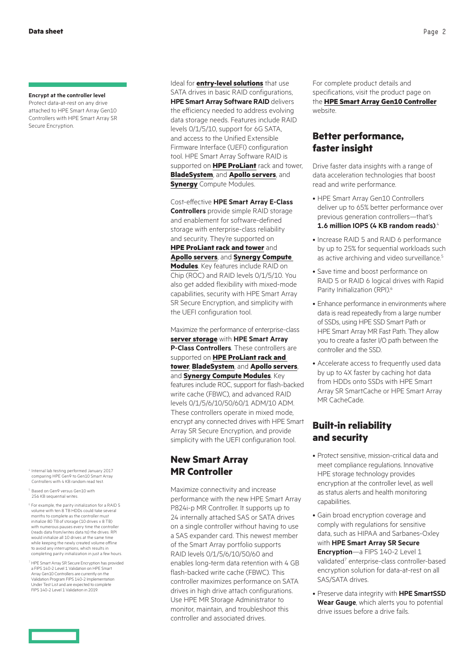#### **Encrypt at the controller level**

Protect data-at-rest on any drive attached to HPE Smart Array Gen10 Controllers with HPE Smart Array SR Secure Encryption.

- <sup>4</sup> Internal lab testing performed January 2017 comparing HPE Gen9 to Gen10 Smart Array Controllers with 4 KB random read test.
- $<sup>5</sup>$  Based on Gen9 versus Gen10 with</sup> 256 KB sequential writes.
- $6$  For example, the parity initialization for a RAID 5 volume with ten 8 TB HDDs could take several months to complete as the controller must initialize 80 TB of storage (10 drives x 8 TB) with numerous pauses every time the controller (reads data from/writes data to) the drives. RPI would initialize all 10 drives at the same time while keeping the newly created volume offline to avoid any interruptions, which results in completing parity initialization in just a few hours.
- <sup>7</sup> HPE Smart Array SR Secure Encryption has provided a FIPS 140-2 Level 1 Validation on HPE Smart Array Gen10 Controllers are currently on the Validation Program FIPS 140-2 Implementation Under Test List and are expected to complete FIPS 140-2 Level 1 Validation in 2019.

Ideal for **[entry-level solutions](https://www.hpe.com/us/en/servers/entry-level.html)** that use SATA drives in basic RAID configurations. **HPE Smart Array Software RAID** delivers the efficiency needed to address evolving data storage needs. Features include RAID levels 0/1/5/10, support for 6G SATA, and access to the Unified Extensible Firmware Interface (UEFI) configuration tool. HPE Smart Array Software RAID is supported on **[HPE ProLiant](https://www.hpe.com/info/proliant)** rack and tower, **[BladeSystem](https://www.hpe.com/info/bladesystem)**, and **[Apollo servers](https://www.hpe.com/servers/apollo)**, and **[Synergy](https://www.hpe.com/info/synergy)** Compute Modules.

Cost-effective **HPE Smart Array E-Class Controllers** provide simple RAID storage and enablement for software-defined storage with enterprise-class reliability and security. They're supported on **[HPE ProLiant rack and tower](http://hpe.com/proliant)** and **[Apollo servers](http://hpe.com/apollo)**, and **[Synergy Compute](http://hpe.com/synergy)  [Modules](http://hpe.com/synergy)**. Key features include RAID on Chip (ROC) and RAID levels 0/1/5/10. You also get added flexibility with mixed-mode capabilities, security with HPE Smart Array SR Secure Encryption, and simplicity with the UEFI configuration tool.

Maximize the performance of enterprise-class **[server storage](https://www.hpe.com/us/en/servers/server-storage.html)** with **HPE Smart Array P-Class Controllers**. These controllers are supported on **[HPE ProLiant rack and](http://hpe.com/proliant)  [tower](http://hpe.com/proliant)**, **[BladeSystem](https://www.hpe.com/in/en/integrated-systems/bladesystem.html)**, and **[Apollo servers](http://hpe.com/apollo)**, and **[Synergy Compute Modules](http://hpe.com/synergy)**. Key features include ROC, support for flash-backed write cache (FBWC), and advanced RAID levels 0/1/5/6/10/50/60/1 ADM/10 ADM. These controllers operate in mixed mode, encrypt any connected drives with HPE Smart Array SR Secure Encryption, and provide simplicity with the UEFI configuration tool.

#### **New Smart Array MR Controller**

Maximize connectivity and increase performance with the new HPE Smart Array P824i-p MR Controller. It supports up to 24 internally attached SAS or SATA drives on a single controller without having to use a SAS expander card. This newest member of the Smart Array portfolio supports RAID levels 0/1/5/6/10/50/60 and enables long-term data retention with 4 GB flash-backed write cache (FBWC). This controller maximizes performance on SATA drives in high drive attach configurations. Use HPE MR Storage Administrator to monitor, maintain, and troubleshoot this controller and associated drives.

For complete product details and specifications, visit the product page on the **[HPE Smart Array Gen10 Controller](http://hpe.com/servers/smartarray)** website.

#### **Better performance, faster insight**

Drive faster data insights with a range of data acceleration technologies that boost read and write performance.

- HPE Smart Array Gen10 Controllers deliver up to 65% better performance over previous generation controllers—that's **1.6 million IOPS (4 KB random reads)**. 4
- Increase RAID 5 and RAID 6 performance by up to 25% for sequential workloads such as active archiving and video surveillance.<sup>5</sup>
- Save time and boost performance on RAID 5 or RAID 6 logical drives with Rapid Parity Initialization (RPI).<sup>6</sup>
- Enhance performance in environments where data is read repeatedly from a large number of SSDs, using HPE SSD Smart Path or HPE Smart Array MR Fast Path. They allow you to create a faster I/O path between the controller and the SSD.
- Accelerate access to frequently used data by up to 4X faster by caching hot data from HDDs onto SSDs with HPE Smart Array SR SmartCache or HPE Smart Array MR CacheCade.

### **Built-in reliability and security**

- Protect sensitive, mission-critical data and meet compliance regulations. Innovative HPE storage technology provides encryption at the controller level, as well as status alerts and health monitoring capabilities.
- Gain broad encryption coverage and comply with regulations for sensitive data, such as HIPAA and Sarbanes-Oxley with **HPE Smart Array SR Secure Encryption**—a FIPS 140-2 Level 1 validated<sup>7</sup> enterprise-class controller-based encryption solution for data-at-rest on all SAS/SATA drives.
- Preserve data integrity with **HPE SmartSSD Wear Gauge**, which alerts you to potential drive issues before a drive fails.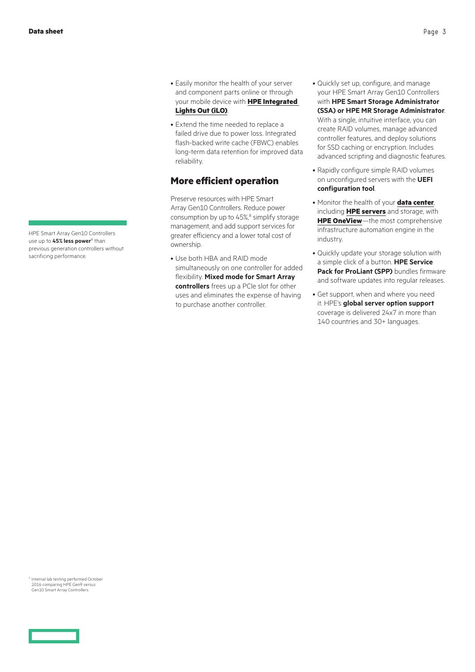HPE Smart Array Gen10 Controllers use up to 45% less power<sup>8</sup> than previous generation controllers without sacrificing performance.

- Easily monitor the health of your server and component parts online or through your mobile device with **[HPE Integrated](http://hpe.com/info/ilo)  [Lights Out \(iLO\)](http://hpe.com/info/ilo)**.
- Extend the time needed to replace a failed drive due to power loss. Integrated flash-backed write cache (FBWC) enables long-term data retention for improved data reliability.

#### **More efficient operation**

Preserve resources with HPE Smart Array Gen10 Controllers. Reduce power consumption by up to 45%,<sup>8</sup> simplify storage management, and add support services for greater efficiency and a lower total cost of ownership.

• Use both HBA and RAID mode simultaneously on one controller for added flexibility. **Mixed mode for Smart Array controllers** frees up a PCIe slot for other uses and eliminates the expense of having to purchase another controller.

- Quickly set up, configure, and manage your HPE Smart Array Gen10 Controllers with **HPE Smart Storage Administrator (SSA) or HPE MR Storage Administrator**. With a single, intuitive interface, you can create RAID volumes, manage advanced controller features, and deploy solutions for SSD caching or encryption. Includes advanced scripting and diagnostic features.
- Rapidly configure simple RAID volumes on unconfigured servers with the **UEFI configuration tool**.
- Monitor the health of your **[data center](https://www.hpe.com/services/datacenter)**, including **[HPE servers](https://www.hpe.com/servers)** and storage, with **[HPE OneView](https://www.hpe.com/info/hpeoneview)**—the most comprehensive infrastructure automation engine in the industry.
- Quickly update your storage solution with a simple click of a button. **HPE Service Pack for ProLiant (SPP)** bundles firmware and software updates into regular releases.
- Get support, when and where you need it. HPE's **global server option support**  coverage is delivered 24x7 in more than 140 countries and 30+ languages.

<sup>8</sup> Internal lab testing performed October<br>2016 comparing HPE Gen9 versus Gen10 Smart Array Controllers.

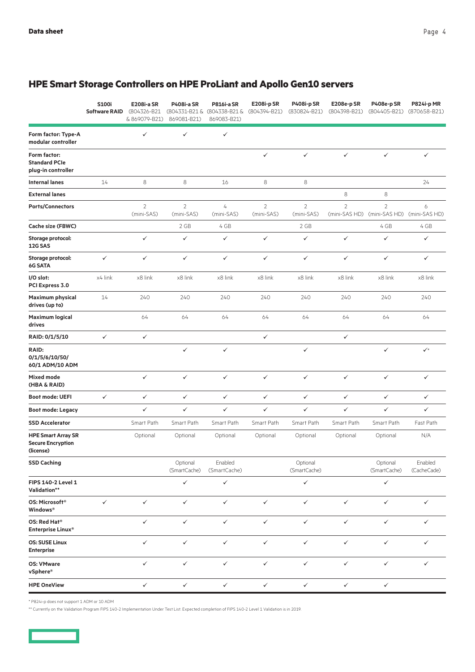|                                                                    | <b>S100i</b><br><b>Software RAID</b> | <b>E208i-a SR</b><br>(804326-B21<br>& 869079-B21) | <b>P408i-a SR</b><br>869081-B21) | <b>P816i-a SR</b><br>(804331-B21 & (804338-B21 &<br>869083-B21) | <b>E208i-pSR</b><br>(804394-B21) | <b>P408i-p SR</b><br>(830824-B21) | E208e-p SR<br>(804398-B21)      | P408e-p SR<br>(804405-B21)      | <b>P824i-p MR</b><br>(870658-B21) |
|--------------------------------------------------------------------|--------------------------------------|---------------------------------------------------|----------------------------------|-----------------------------------------------------------------|----------------------------------|-----------------------------------|---------------------------------|---------------------------------|-----------------------------------|
| Form factor: Type-A<br>modular controller                          |                                      | $\checkmark$                                      | $\checkmark$                     | $\checkmark$                                                    |                                  |                                   |                                 |                                 |                                   |
| Form factor:<br><b>Standard PCIe</b><br>plug-in controller         |                                      |                                                   |                                  |                                                                 | ✓                                | $\checkmark$                      | $\checkmark$                    | $\checkmark$                    | $\checkmark$                      |
| <b>Internal lanes</b>                                              | 14                                   | 8                                                 | 8                                | 16                                                              | 8                                | 8                                 |                                 |                                 | 24                                |
| <b>External lanes</b>                                              |                                      |                                                   |                                  |                                                                 |                                  |                                   | $\,8\,$                         | 8                               |                                   |
| <b>Ports/Connectors</b>                                            |                                      | $\overline{2}$<br>(mini-SAS)                      | $\overline{2}$<br>(mini-SAS)     | 4<br>(mini-SAS)                                                 | $\overline{2}$<br>(mini-SAS)     | $\overline{2}$<br>(mini-SAS)      | $\overline{2}$<br>(mini-SAS HD) | $\overline{2}$<br>(mini-SAS HD) | 6<br>(mini-SAS HD)                |
| Cache size (FBWC)                                                  |                                      |                                                   | 2 GB                             | 4 GB                                                            |                                  | 2 GB                              |                                 | 4 GB                            | 4 GB                              |
| Storage protocol:<br>12G SAS                                       |                                      | $\checkmark$                                      | $\checkmark$                     | $\checkmark$                                                    | $\checkmark$                     | $\checkmark$                      | $\checkmark$                    | ✓                               | $\checkmark$                      |
| Storage protocol:<br>6G SATA                                       | $\checkmark$                         | $\checkmark$                                      | $\checkmark$                     | $\checkmark$                                                    | $\checkmark$                     | $\checkmark$                      | $\checkmark$                    | ✓                               | $\checkmark$                      |
| I/O slot:<br>PCI Express 3.0                                       | x4 link                              | x8 link                                           | x8 link                          | x8 link                                                         | x8 link                          | x8 link                           | x8 link                         | x8 link                         | x8 link                           |
| <b>Maximum physical</b><br>drives (up to)                          | 14                                   | 240                                               | 240                              | 240                                                             | 240                              | 240                               | 240                             | 240                             | 240                               |
| <b>Maximum logical</b><br>drives                                   |                                      | 64                                                | 64                               | 64                                                              | 64                               | 64                                | 64                              | 64                              | 64                                |
| RAID: 0/1/5/10                                                     | $\checkmark$                         | $\checkmark$                                      |                                  |                                                                 | ✓                                |                                   | $\checkmark$                    |                                 |                                   |
| <b>RAID:</b><br>0/1/5/6/10/50/<br>60/1 ADM/10 ADM                  |                                      |                                                   | $\checkmark$                     | $\checkmark$                                                    |                                  | $\checkmark$                      |                                 | ✓                               | $\checkmark$                      |
| Mixed mode<br>(HBA & RAID)                                         |                                      | $\checkmark$                                      | $\checkmark$                     | $\checkmark$                                                    | $\checkmark$                     | $\checkmark$                      | $\checkmark$                    | $\checkmark$                    | $\checkmark$                      |
| <b>Boot mode: UEFI</b>                                             | $\checkmark$                         | $\checkmark$                                      | $\checkmark$                     | $\checkmark$                                                    | $\checkmark$                     | $\checkmark$                      | $\checkmark$                    | ✓                               | $\checkmark$                      |
| <b>Boot mode: Legacy</b>                                           |                                      | $\checkmark$                                      | $\checkmark$                     | ✓                                                               | $\checkmark$                     | $\checkmark$                      | $\checkmark$                    | $\checkmark$                    | $\checkmark$                      |
| <b>SSD Accelerator</b>                                             |                                      | Smart Path                                        | Smart Path                       | Smart Path                                                      | Smart Path                       | Smart Path                        | Smart Path                      | Smart Path                      | Fast Path                         |
| <b>HPE Smart Array SR</b><br><b>Secure Encryption</b><br>(license) |                                      | Optional                                          | Optional                         | Optional                                                        | Optional                         | Optional                          | Optional                        | Optional                        | N/A                               |
| <b>SSD Caching</b>                                                 |                                      |                                                   | Optional<br>(SmartCache)         | Enabled<br>(SmartCache)                                         |                                  | Optional<br>(SmartCache)          |                                 | Optional<br>(SmartCache)        | Enabled<br>(CacheCade)            |
| FIPS 140-2 Level 1<br>Validation**                                 |                                      |                                                   | $\checkmark$                     | $\checkmark$                                                    |                                  | $\checkmark$                      |                                 | ✓                               |                                   |
| OS: Microsoft <sup>®</sup><br>Windows <sup>®</sup>                 | $\checkmark$                         | $\checkmark$                                      | $\checkmark$                     | $\checkmark$                                                    | $\checkmark$                     | $\checkmark$                      | $\checkmark$                    | ✓                               | $\checkmark$                      |
| OS: Red Hat <sup>®</sup><br>Enterprise Linux <sup>®</sup>          |                                      | $\checkmark$                                      | $\checkmark$                     | $\checkmark$                                                    | $\checkmark$                     | $\checkmark$                      | $\checkmark$                    | $\checkmark$                    | $\checkmark$                      |
| <b>OS: SUSE Linux</b><br><b>Enterprise</b>                         |                                      | $\checkmark$                                      | $\checkmark$                     | $\checkmark$                                                    | $\checkmark$                     | $\checkmark$                      | $\checkmark$                    | $\checkmark$                    | $\checkmark$                      |
| <b>OS: VMware</b><br>vSphere®                                      |                                      | $\checkmark$                                      | $\checkmark$                     | $\checkmark$                                                    | $\checkmark$                     | $\checkmark$                      | $\checkmark$                    | $\checkmark$                    | $\checkmark$                      |
| <b>HPE OneView</b>                                                 |                                      | $\checkmark$                                      | $\checkmark$                     | $\checkmark$                                                    | $\checkmark$                     | $\checkmark$                      | $\checkmark$                    | ✓                               |                                   |

# **HPE Smart Storage Controllers on HPE ProLiant and Apollo Gen10 servers**

\* P824i-p does not support 1 ADM or 10 ADM

\*\* Currently on the Validation Program FIPS 140-2 Implementation Under Test List. Expected completion of FIPS 140-2 Level 1 Validation is in 2019.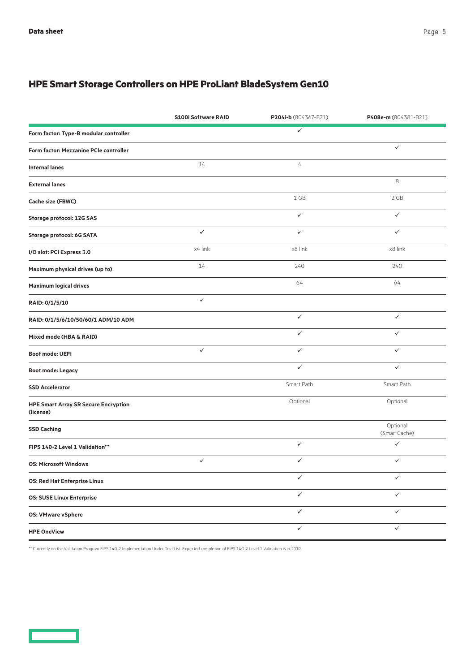# **HPE Smart Storage Controllers on HPE ProLiant BladeSystem Gen10**

|                                                          | <b>S100i Software RAID</b> | P204i-b (804367-B21) | P408e-m (804381-B21)     |
|----------------------------------------------------------|----------------------------|----------------------|--------------------------|
| Form factor: Type-B modular controller                   |                            | $\checkmark$         |                          |
| Form factor: Mezzanine PCIe controller                   |                            |                      | ✓                        |
| <b>Internal lanes</b>                                    | 14                         | 4                    |                          |
| <b>External lanes</b>                                    |                            |                      | 8                        |
| Cache size (FBWC)                                        |                            | 1 GB                 | 2 GB                     |
| Storage protocol: 12G SAS                                |                            | $\checkmark$         | $\checkmark$             |
| Storage protocol: 6G SATA                                | $\checkmark$               | $\checkmark$         | $\checkmark$             |
| I/O slot: PCI Express 3.0                                | x4 link                    | x8 link              | x8 link                  |
| Maximum physical drives (up to)                          | 14                         | 240                  | 240                      |
| <b>Maximum logical drives</b>                            |                            | 64                   | 64                       |
| RAID: 0/1/5/10                                           | $\checkmark$               |                      |                          |
| RAID: 0/1/5/6/10/50/60/1 ADM/10 ADM                      |                            | $\checkmark$         | ✓                        |
| Mixed mode (HBA & RAID)                                  |                            | $\checkmark$         | ✓                        |
| <b>Boot mode: UEFI</b>                                   | $\checkmark$               | $\checkmark$         | ✓                        |
| <b>Boot mode: Legacy</b>                                 |                            | $\checkmark$         | $\checkmark$             |
| <b>SSD Accelerator</b>                                   |                            | Smart Path           | Smart Path               |
| <b>HPE Smart Array SR Secure Encryption</b><br>(license) |                            | Optional             | Optional                 |
| <b>SSD Caching</b>                                       |                            |                      | Optional<br>(SmartCache) |
| FIPS 140-2 Level 1 Validation**                          |                            | $\checkmark$         | $\checkmark$             |
| <b>OS: Microsoft Windows</b>                             | $\checkmark$               | $\checkmark$         | $\checkmark$             |
| <b>OS: Red Hat Enterprise Linux</b>                      |                            | $\checkmark$         | $\checkmark$             |
| <b>OS: SUSE Linux Enterprise</b>                         |                            | $\checkmark$         | $\checkmark$             |
| <b>OS: VMware vSphere</b>                                |                            | $\checkmark$         | $\checkmark$             |
| <b>HPE OneView</b>                                       |                            | ✓                    | ✓                        |

\*\* Currently on the Validation Program FIPS 140-2 Implementation Under Test List. Expected completion of FIPS 140-2 Level 1 Validation is in 2019.

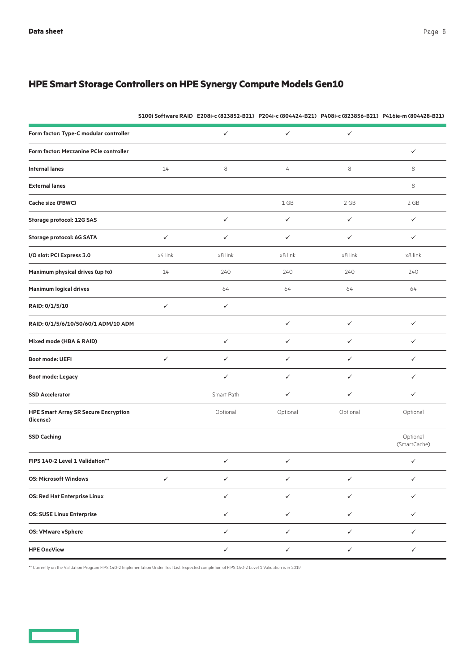# **HPE Smart Storage Controllers on HPE Synergy Compute Models Gen10**

|                                                          |              |              |              |              | S100i Software RAID E208i-c (823852-B21) P204i-c (804424-B21) P408i-c (823856-B21) P416ie-m (804428-B21) |
|----------------------------------------------------------|--------------|--------------|--------------|--------------|----------------------------------------------------------------------------------------------------------|
| Form factor: Type-C modular controller                   |              | $\checkmark$ | $\checkmark$ | $\checkmark$ |                                                                                                          |
| Form factor: Mezzanine PCIe controller                   |              |              |              |              | $\checkmark$                                                                                             |
| <b>Internal lanes</b>                                    | 14           | 8            | 4            | 8            | $\,8\,$                                                                                                  |
| <b>External lanes</b>                                    |              |              |              |              | $\,8\,$                                                                                                  |
| Cache size (FBWC)                                        |              |              | 1 GB         | 2 GB         | 2 GB                                                                                                     |
| <b>Storage protocol: 12G SAS</b>                         |              | $\checkmark$ | $\checkmark$ | ✓            | $\checkmark$                                                                                             |
| Storage protocol: 6G SATA                                | $\checkmark$ | $\checkmark$ | $\checkmark$ | $\checkmark$ | $\checkmark$                                                                                             |
| I/O slot: PCI Express 3.0                                | x4 link      | x8 link      | x8 link      | x8 link      | x8 link                                                                                                  |
| Maximum physical drives (up to)                          | 14           | 240          | 240          | 240          | 240                                                                                                      |
| <b>Maximum logical drives</b>                            |              | 64           | 64           | 64           | 64                                                                                                       |
| RAID: 0/1/5/10                                           | $\checkmark$ | $\checkmark$ |              |              |                                                                                                          |
| RAID: 0/1/5/6/10/50/60/1 ADM/10 ADM                      |              |              | $\checkmark$ | $\checkmark$ | $\checkmark$                                                                                             |
| Mixed mode (HBA & RAID)                                  |              | $\checkmark$ | $\checkmark$ | $\checkmark$ | $\checkmark$                                                                                             |
| <b>Boot mode: UEFI</b>                                   | $\checkmark$ | $\checkmark$ | $\checkmark$ | ✓            | $\checkmark$                                                                                             |
| <b>Boot mode: Legacy</b>                                 |              | $\checkmark$ | $\checkmark$ | ✓            | $\checkmark$                                                                                             |
| <b>SSD Accelerator</b>                                   |              | Smart Path   | $\checkmark$ | ✓            | $\checkmark$                                                                                             |
| <b>HPE Smart Array SR Secure Encryption</b><br>(license) |              | Optional     | Optional     | Optional     | Optional                                                                                                 |
| <b>SSD Caching</b>                                       |              |              |              |              | Optional<br>(SmartCache)                                                                                 |
| FIPS 140-2 Level 1 Validation**                          |              | $\checkmark$ | $\checkmark$ |              | ✓                                                                                                        |
| <b>OS: Microsoft Windows</b>                             | $\checkmark$ | $\checkmark$ | $\checkmark$ | ✓            | ✓                                                                                                        |
| <b>OS: Red Hat Enterprise Linux</b>                      |              | $\checkmark$ | $\checkmark$ | $\checkmark$ | $\checkmark$                                                                                             |
| <b>OS: SUSE Linux Enterprise</b>                         |              | $\checkmark$ | $\checkmark$ | $\checkmark$ | $\checkmark$                                                                                             |
| <b>OS: VMware vSphere</b>                                |              | $\checkmark$ | $\checkmark$ | $\checkmark$ | $\checkmark$                                                                                             |
| <b>HPE OneView</b>                                       |              | $\checkmark$ | $\checkmark$ | ✓            | $\checkmark$                                                                                             |

\*\* Currently on the Validation Program FIPS 140-2 Implementation Under Test List. Expected completion of FIPS 140-2 Level 1 Validation is in 2019.